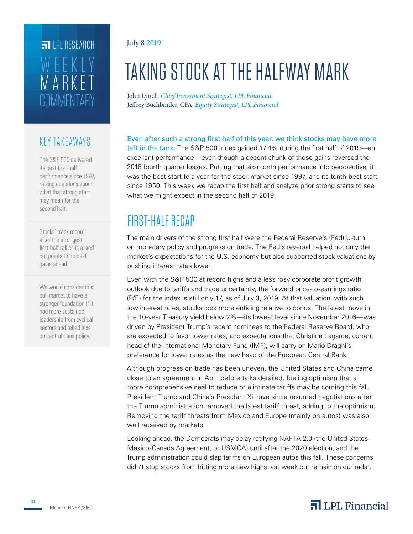# **COMMENTARY** MARKET WEEKLY **FILPI RESEARCH**

#### KEY TAKEAWAYS

The S&P 500 delivered its best first-half performance since 1997, raising questions about what that strong start may mean for the second half.

Stocks' track record after the strongest first-half rallies is mixed but points to modest gains ahead.

We would consider this bull market to have a stronger foundation if it had more sustained leadership from cyclical sectors and relied less on central bank policy.

#### July 8 2019

# TAKING STOCK AT THE HALFWAY MARK

John Lynch *Chief Investment Strategist, LPL Financial* Jeffrey Buchbinder, CFA *Equity Strategist, LPL Financial*

Even after such a strong first half of this year, we think stocks may have more left in the tank. The S&P 500 Index gained 17.4% during the first half of 2019—an excellent performance—even though a decent chunk of those gains reversed the 2018 fourth quarter losses. Putting that six-month performance into perspective, it was the best start to a year for the stock market since 1997, and its tenth-best start since 1950. This week we recap the first half and analyze prior strong starts to see what we might expect in the second half of 2019.

## FIRST-HALF RECAP

The main drivers of the strong first half were the Federal Reserve's (Fed) U-turn on monetary policy and progress on trade. The Fed's reversal helped not only the market's expectations for the U.S. economy but also supported stock valuations by pushing interest rates lower.

Even with the S&P 500 at record highs and a less rosy corporate profit growth outlook due to tariffs and trade uncertainty, the forward price-to-earnings ratio (P/E) for the index is still only 17, as of July 3, 2019. At that valuation, with such low interest rates, stocks look more enticing relative to bonds. The latest move in the 10-year Treasury yield below 2%—its lowest level since November 2016—was driven by President Trump's recent nominees to the Federal Reserve Board, who are expected to favor lower rates, and expectations that Christine Lagarde, current head of the International Monetary Fund (IMF), will carry on Mario Draghi's preference for lower rates as the new head of the European Central Bank.

Although progress on trade has been uneven, the United States and China came close to an agreement in April before talks derailed, fueling optimism that a more comprehensive deal to reduce or eliminate tariffs may be coming this fall. President Trump and China's President Xi have since resumed negotiations after the Trump administration removed the latest tariff threat, adding to the optimism. Removing the tariff threats from Mexico and Europe (mainly on autos) was also well received by markets.

Looking ahead, the Democrats may delay ratifying NAFTA 2.0 (the United States-Mexico-Canada Agreement, or USMCA) until after the 2020 election, and the Trump administration could slap tariffs on European autos this fall. These concerns didn't stop stocks from hitting more new highs last week but remain on our radar.

### $\overline{\mathbf{a}}$  LPL Financial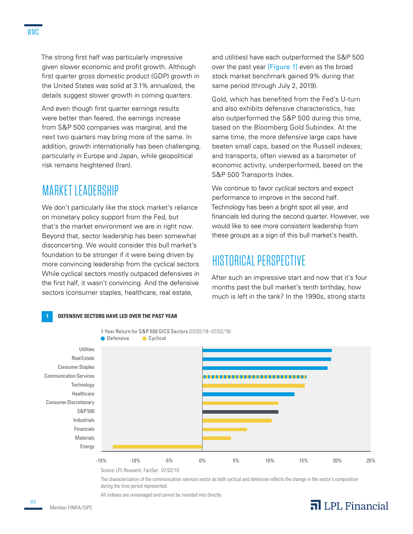The strong first half was particularly impressive given slower economic and profit growth. Although first quarter gross domestic product (GDP) growth in the United States was solid at 3.1% annualized, the details suggest slower growth in coming quarters.

And even though first quarter earnings results were better than feared, the earnings increase from S&P 500 companies was marginal, and the next two quarters may bring more of the same. In addition, growth internationally has been challenging, particularly in Europe and Japan, while geopolitical risk remains heightened (Iran).

### MARKET LEADERSHIP

We don't particularly like the stock market's reliance on monetary policy support from the Fed, but that's the market environment we are in right now. Beyond that, sector leadership has been somewhat disconcerting. We would consider this bull market's foundation to be stronger if it were being driven by more convincing leadership from the cyclical sectors. While cyclical sectors mostly outpaced defensives in the first half, it wasn't convincing. And the defensive sectors (consumer staples, healthcare, real estate,

and utilities) have each outperformed the S&P 500 over the past year [Figure 1] even as the broad stock market benchmark gained 9% during that same period (through July 2, 2019).

Gold, which has benefited from the Fed's U-turn and also exhibits defensive characteristics, has also outperformed the S&P 500 during this time, based on the Bloomberg Gold Subindex. At the same time, the more defensive large caps have beaten small caps, based on the Russell indexes; and transports, often viewed as a barometer of economic activity, underperformed, based on the S&P 500 Transports Index.

We continue to favor cyclical sectors and expect performance to improve in the second half. Technology has been a bright spot all year, and financials led during the second quarter. However, we would like to see more consistent leadership from these groups as a sign of this bull market's health.

### HISTORICAL PERSPECTIVE

After such an impressive start and now that it's four months past the bull market's tenth birthday, how much is left in the tank? In the 1990s, strong starts



The characterization of the communication services sector as both cyclical and defensive reflects the change in the sector's composition during the time period represented.

All indexes are unmanaged and cannot be invested into directly.



02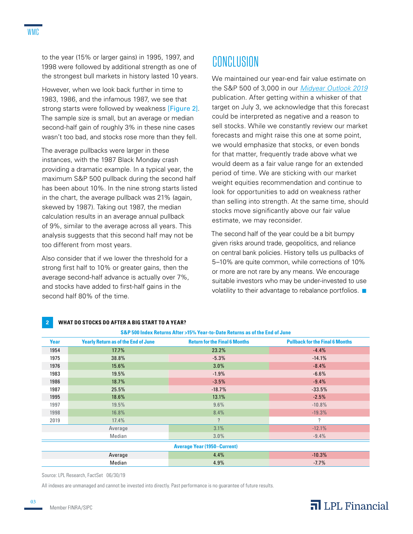to the year (15% or larger gains) in 1995, 1997, and 1998 were followed by additional strength as one of the strongest bull markets in history lasted 10 years.

However, when we look back further in time to 1983, 1986, and the infamous 1987, we see that strong starts were followed by weakness [Figure 2]. The sample size is small, but an average or median second-half gain of roughly 3% in these nine cases wasn't too bad, and stocks rose more than they fell.

The average pullbacks were larger in these instances, with the 1987 Black Monday crash providing a dramatic example. In a typical year, the maximum S&P 500 pullback during the second half has been about 10%. In the nine strong starts listed in the chart, the average pullback was 21% (again, skewed by 1987). Taking out 1987, the median calculation results in an average annual pullback of 9%, similar to the average across all years. This analysis suggests that this second half may not be too different from most years.

Also consider that if we lower the threshold for a strong first half to 10% or greater gains, then the average second-half advance is actually over 7%, and stocks have added to first-half gains in the second half 80% of the time.

### CONCLUSION

We maintained our year-end fair value estimate on the S&P 500 of 3,000 in our *Midyear Outlook 2019* publication. After getting within a whisker of that target on July 3, we acknowledge that this forecast could be interpreted as negative and a reason to sell stocks. While we constantly review our market forecasts and might raise this one at some point, we would emphasize that stocks, or even bonds for that matter, frequently trade above what we would deem as a fair value range for an extended period of time. We are sticking with our market weight equities recommendation and continue to look for opportunities to add on weakness rather than selling into strength. At the same time, should stocks move significantly above our fair value estimate, we may reconsider.

The second half of the year could be a bit bumpy given risks around trade, geopolitics, and reliance on central bank policies. History tells us pullbacks of 5–10% are quite common, while corrections of 10% or more are not rare by any means. We encourage suitable investors who may be under-invested to use volatility to their advantage to rebalance portfolios.  $\blacksquare$ 

| S&P 500 Index Returns After >15% Year-to-Date Returns as of the End of June |                                            |                                      |                                        |
|-----------------------------------------------------------------------------|--------------------------------------------|--------------------------------------|----------------------------------------|
| Year                                                                        | <b>Yearly Return as of the End of June</b> | <b>Return for the Final 6 Months</b> | <b>Pullback for the Final 6 Months</b> |
| 1954                                                                        | 17.7%                                      | 23.2%                                | $-4.4%$                                |
| 1975                                                                        | 38.8%                                      | $-5.3%$                              | $-14.1%$                               |
| 1976                                                                        | $15.6\%$                                   | 3.0%                                 | $-8.4%$                                |
| 1983                                                                        | 19.5%                                      | $-1.9%$                              | $-6.6%$                                |
| 1986                                                                        | 18.7%                                      | $-3.5%$                              | $-9.4%$                                |
| 1987                                                                        | 25.5%                                      | $-18.7%$                             | $-33.5%$                               |
| 1995                                                                        | $18.6\%$                                   | 13.1%                                | $-2.5%$                                |
| 1997                                                                        | 19.5%                                      | 9.6%                                 | $-10.8%$                               |
| 1998                                                                        | 16.8%                                      | 8.4%                                 | $-19.3%$                               |
| 2019                                                                        | 17.4%                                      | $\overline{?}$                       | $\boldsymbol{\eta}$                    |
|                                                                             | Average                                    | 3.1%                                 | $-12.1%$                               |
|                                                                             | Median                                     | 3.0%                                 | $-9.4%$                                |
| <b>Average Year (1950–Current)</b>                                          |                                            |                                      |                                        |
|                                                                             | Average                                    | 4.4%                                 | $-10.3%$                               |
|                                                                             | Median                                     | 4.9%                                 | $-7.7%$                                |

#### **2 WHAT DO STOCKS DO AFTER A BIG START TO A YEAR?**

Source: LPL Research, FactSet 06/30/19

All indexes are unmanaged and cannot be invested into directly. Past performance is no guarantee of future results.

#### $\overline{\mathbf{a}}$  LPL Financial

03